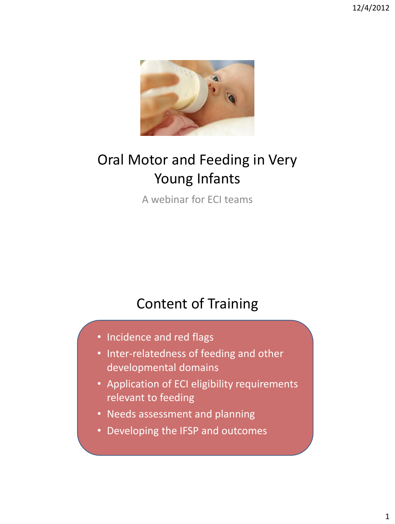

# Oral Motor and Feeding in Very Young Infants

A webinar for ECI teams

### Content of Training

- Incidence and red flags
- Inter-relatedness of feeding and other developmental domains
- Application of ECI eligibility requirements relevant to feeding
- Needs assessment and planning
- Developing the IFSP and outcomes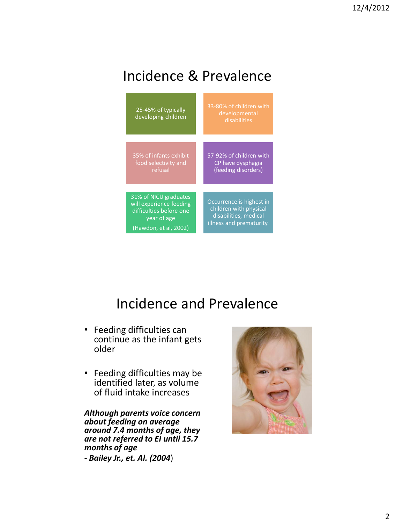### Incidence & Prevalence



#### Incidence and Prevalence

- Feeding difficulties can continue as the infant gets older
- Feeding difficulties may be identified later, as volume of fluid intake increases

*Although parents voice concern about feeding on average around 7.4 months of age, they are not referred to EI until 15.7 months of age - Bailey Jr., et. Al. (2004*)

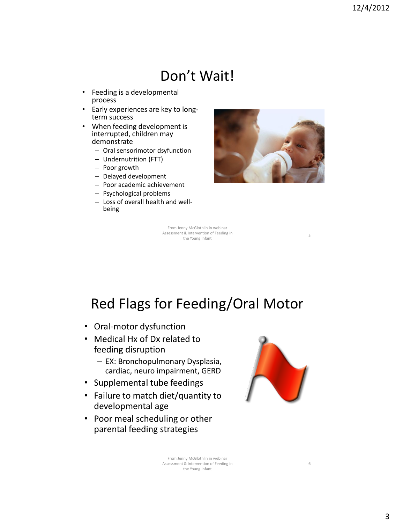#### Don't Wait!

- Feeding is a developmental process
- Early experiences are key to longterm success
- When feeding development is interrupted, children may demonstrate
	- Oral sensorimotor dsyfunction
	- Undernutrition (FTT)
	- Poor growth
	- Delayed development
	- Poor academic achievement
	- Psychological problems
	- Loss of overall health and wellbeing



From Jenny McGlothlin in webinar Assessment & Intervention of Feeding in the Young Infant<br>
the Young Infant<br>
5

#### Red Flags for Feeding/Oral Motor

- Oral-motor dysfunction
- Medical Hx of Dx related to feeding disruption
	- EX: Bronchopulmonary Dysplasia, cardiac, neuro impairment, GERD
- Supplemental tube feedings
- Failure to match diet/quantity to developmental age
- Poor meal scheduling or other parental feeding strategies



6

From Jenny McGlothlin in webinar Assessment & Intervention of Feeding in the Young Infant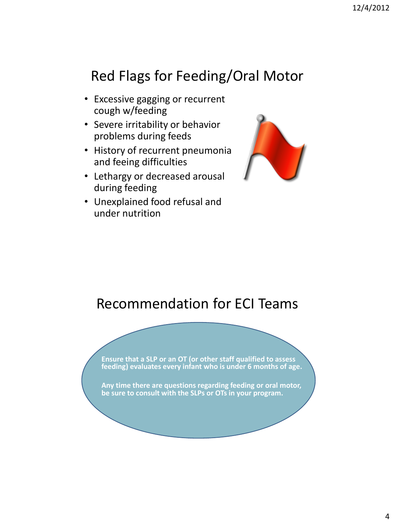#### Red Flags for Feeding/Oral Motor

- Excessive gagging or recurrent cough w/feeding
- Severe irritability or behavior problems during feeds
- History of recurrent pneumonia and feeing difficulties
- Lethargy or decreased arousal during feeding
- Unexplained food refusal and under nutrition



#### Recommendation for ECI Teams

**Ensure that a SLP or an OT (or other staff qualified to assess feeding) evaluates every infant who is under 6 months of age. Any time there are questions regarding feeding or oral motor, be sure to consult with the SLPs or OTs in your program.**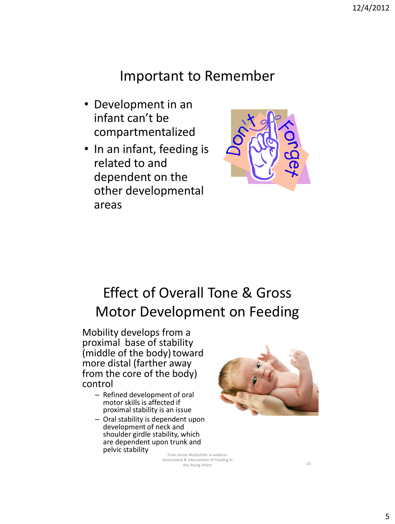#### Important to Remember

- Development in an infant can't be compartmentalized
- In an infant, feeding is related to and dependent on the other developmental areas



### Effect of Overall Tone & Gross Motor Development on Feeding

Mobility develops from a proximal base of stability (middle of the body) toward more distal (farther away from the core of the body) control

- Refined development of oral motor skills is affected if proximal stability is an issue
- Oral stability is dependent upon development of neck and shoulder girdle stability, which are dependent upon trunk and pelvic stability



From Jenny McGlothlin in webinar Assessment & Intervention of Feeding in the Young Infant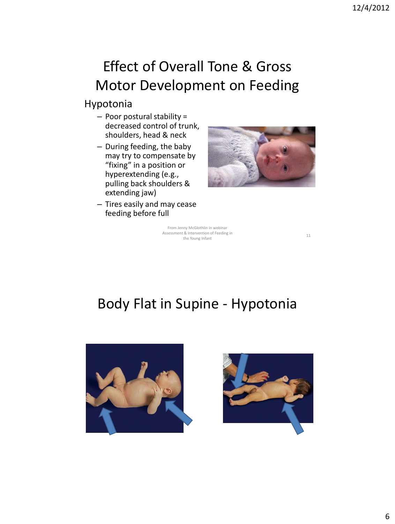# Effect of Overall Tone & Gross Motor Development on Feeding

#### Hypotonia

- Poor postural stability = decreased control of trunk, shoulders, head & neck
- During feeding, the baby may try to compensate by "fixing" in a position or hyperextending (e.g., pulling back shoulders & extending jaw)
- Tires easily and may cease feeding before full



From Jenny McGlothlin in webinar Assessment & Intervention of Feeding in it & intervention of Feeding in<br>the Young Infant 11

#### Body Flat in Supine - Hypotonia



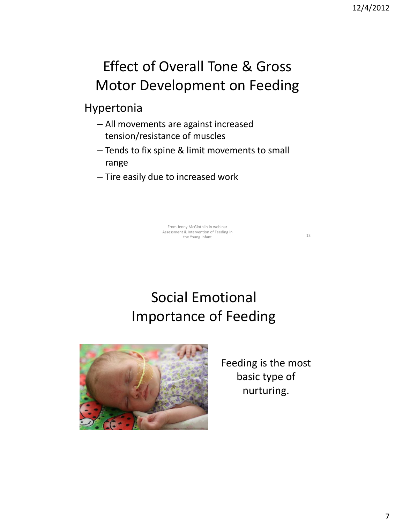# Effect of Overall Tone & Gross Motor Development on Feeding

Hypertonia

- All movements are against increased tension/resistance of muscles
- Tends to fix spine & limit movements to small range
- Tire easily due to increased work

From Jenny McGlothlin in webinar Assessment & Intervention of Feeding in the Young Infant 13

Social Emotional Importance of Feeding



Feeding is the most basic type of nurturing.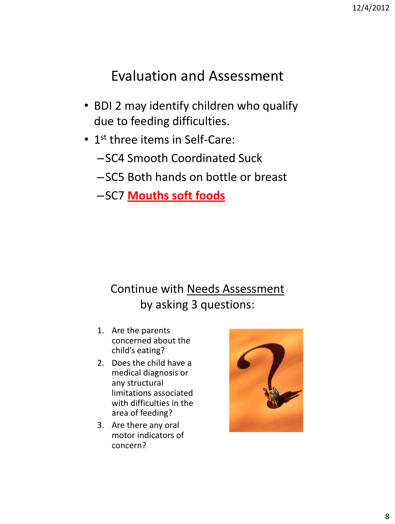#### Evaluation and Assessment

- BDI 2 may identify children who qualify due to feeding difficulties.
- 1<sup>st</sup> three items in Self-Care:
	- –SC4 Smooth Coordinated Suck
	- –SC5 Both hands on bottle or breast
	- –SC7 **Mouths soft foods**

#### Continue with Needs Assessment by asking 3 questions:

- 1. Are the parents concerned about the child's eating?
- 2. Does the child have a medical diagnosis or any structural limitations associated with difficulties in the area of feeding?
- 3. Are there any oral motor indicators of concern?

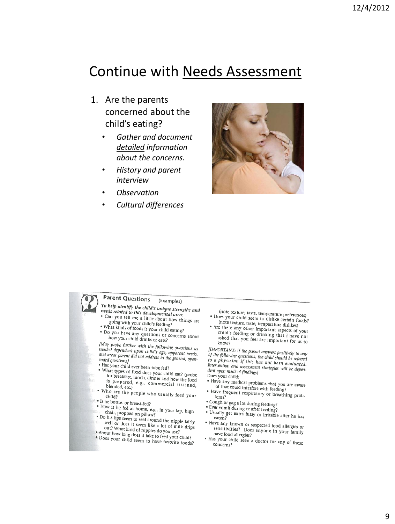#### Continue with Needs Assessment

- 1. Are the parents concerned about the child's eating?
	- *Gather and document detailed information about the concerns.*
	- *History and parent interview*
	- *Observation*
	- *Cultural differences*



#### **Parent Questions** (Examples)

- To help identify the child's unique strengths and<br>needs related to this developmental *i b* help *utentify* the child's unique streng<br>needs related to this developmental area;<br>• Can you tell me a little about the car
- "exas related to this developmental area:<br>"Can you tell me a little about how things are<br>going with your child's fooding? soing with your child's feeding?
- What kinds of foods is your child eating?<br>• What kinds of foods is your child eating?<br>• Do you have any questions
- Mat killus of foods is your child eating?<br>• Do you have any questions or concerns about<br>how your child drinks or eate? how your child drinks or eats?

The problem is the following questions as<br>
1992 Part Park II and the following questions as<br>
1994 Park II and areas parent did not address in the general needs,<br>
2004 Park II and areas parent did not address in the general neeuen aependent upon child's age, apparent needs,<br>and areas parent did not address in the general, open-<br>ended questions) ended questions)

- Has your child ever been tube fed?<br>• What types of a window
- What types of food does your child eat? (probe<br>for breakfast. lunch dinner and l that types of food does your child eat? (probe<br>for breakfast, lunch, dinner and how the food<br>is prepared, e.g., commercial start. is prepared, e.g., commercial strained,<br>blended, etc.) blended, etc.)
- Who are the people who usually feed your<br>child?
- <sup>8</sup> Is he bottle- or breast-fed?
- How is he fed at home, e.g., in your lap, high-<br>b chair, propped on pillow?<br>• Do his lips seem to seal around the ningle failure
- 
- Do his lips seem to seal around the nipple fairly<br>
<sup>•</sup> Do his lips seem to seal around the nipple fairly<br>
<sup>1</sup> well or does it seem like a lot of mill did over the desired seem like a lot of mill<br>out? What kind of nipples do you use?<br>Nout how long does it take to feed you
- About how long does it take to feed your child?<br>• Does your child seem to have four child?
- ". Does your child seem to have favorite foods?"
- (note texture, taste, temperature preferences) • Does your child seem to dislike certain foods?<br>(note texture tasks) not the factor of the factor of the texture tasks.
- (note texture, taste, temperature dislikes) Are there any other important aspects of your<br>child's feeding or driptionte there any other important aspects of your<br>child's feeding or drinking that I have not<br>asked that you feel are important for asked that you feel are important for us to<br>know?

[IMPORTANT: If the parent answers positively to any<br>of the following auestions, the child should if any that ONTAINT: if the parent answers positively to any<br>of the following questions, the child should be referred<br>to a physician if this has not have of the following questions, the child should be referred<br>to a physician if this has not been evaluated.<br>Intervention and assessment strategies Intervention and assessment strategies will be depen-<br>Intervention and assessment strategies will be depen-<br>dent upon medical findingel dent upon medical findings] Does your child:

- 
- body your child:<br>• Have any medical problems that you are aware<br>of that could interfere with feeding? of that could interfere with feeding?
- Have frequent respiratory or breathing prob-<br>lems? • Cough or gag a lot during feeding?
- Ever vomit during or after feeding?<br>• Ever vomit during or after feeding?
- 
- **Example 19 and Secure 19 and Secure 19 and Secure 19 at 20**<br>• Usually get extra fussy or irritable after he has<br>• Have any known or a eaten?<br>• Have any known or suspected food allergies or<br>sensitivities? Does anyone in your fem.
- are any known or suspected food allergies or<br>sensitivities? Does anyone in your family<br>have food allergies? have food allergies?
- Has your child seen a doctor for any of these<br>concerns? concerns?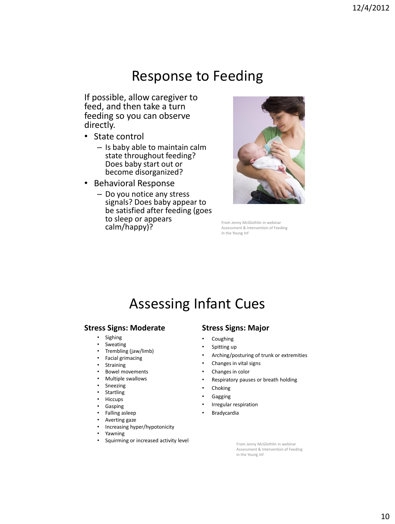#### Response to Feeding

If possible, allow caregiver to feed, and then take a turn feeding so you can observe directly.

- State control
	- Is baby able to maintain calm state throughout feeding? Does baby start out or become disorganized?
- Behavioral Response
	- Do you notice any stress signals? Does baby appear to be satisfied after feeding (goes to sleep or appears calm/happy)?<br>**From Jenny McGlothlin in webinar**<br>Assessment & Intervention of Feed



Assessment & Intervention of Feeding in the Young Inf

#### Assessing Infant Cues

#### **Stress Signs: Moderate**

- Sighing
- **Sweating**
- Trembling (jaw/limb)
- Facial grimacing
- **Straining**
- Bowel movements
- Multiple swallows
- Sneezing
- Startling
- Hiccups
- **Gasping**
- Falling asleep
- Averting gaze
- Increasing hyper/hypotonicity
- Yawning
- Squirming or increased activity level

#### **Stress Signs: Major**

- **Coughing**
- Spitting up
- Arching/posturing of trunk or extremities
- Changes in vital signs
- Changes in color
- Respiratory pauses or breath holding
- **Choking**
- **Gagging**
- Irregular respiration
- **Bradycardia**

From Jenny McGlothlin in webinar Assessment & Intervention of Feeding in the Young Inf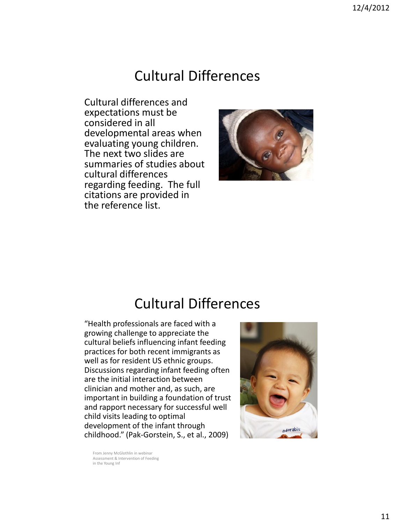#### Cultural Differences

Cultural differences and expectations must be considered in all developmental areas when evaluating young children. The next two slides are summaries of studies about cultural differences regarding feeding. The full citations are provided in the reference list.



#### Cultural Differences

"Health professionals are faced with a growing challenge to appreciate the cultural beliefs influencing infant feeding practices for both recent immigrants as well as for resident US ethnic groups. Discussions regarding infant feeding often are the initial interaction between clinician and mother and, as such, are important in building a foundation of trust and rapport necessary for successful well child visits leading to optimal development of the infant through childhood." (Pak-Gorstein, S., et al., 2009)



From Jenny McGlothlin in webinar Assessment & Intervention of Feeding in the Young Inf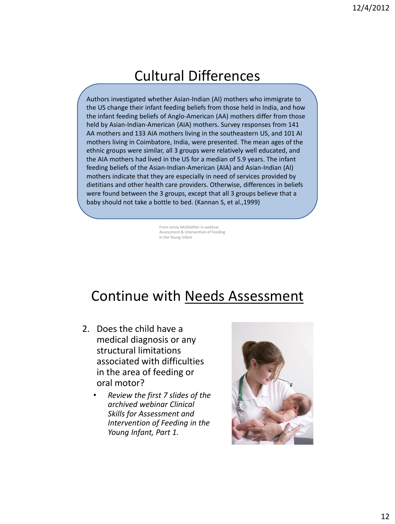#### Cultural Differences

Authors investigated whether Asian-Indian (AI) mothers who immigrate to the US change their infant feeding beliefs from those held in India, and how the infant feeding beliefs of Anglo-American (AA) mothers differ from those held by Asian-Indian-American (AIA) mothers. Survey responses from 141 AA mothers and 133 AIA mothers living in the southeastern US, and 101 AI mothers living in Coimbatore, India, were presented. The mean ages of the ethnic groups were similar, all 3 groups were relatively well educated, and the AIA mothers had lived in the US for a median of 5.9 years. The infant feeding beliefs of the Asian-Indian-American (AIA) and Asian-Indian (AI) mothers indicate that they are especially in need of services provided by dietitians and other health care providers. Otherwise, differences in beliefs were found between the 3 groups, except that all 3 groups believe that a baby should not take a bottle to bed. (Kannan S, et al.,1999)

> From Jenny McGlothlin in webinar Assessment & Intervention of Feeding in the Young Infant

#### Continue with Needs Assessment

- 2. Does the child have a medical diagnosis or any structural limitations associated with difficulties in the area of feeding or oral motor?
	- *Review the first 7 slides of the archived webinar Clinical Skills for Assessment and Intervention of Feeding in the Young Infant, Part 1.*

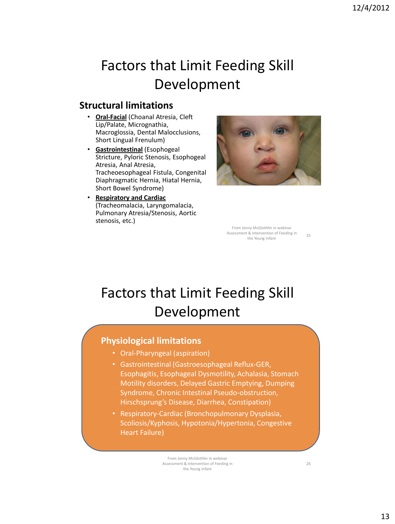### Factors that Limit Feeding Skill Development

#### **Structural limitations**

- **Oral-Facial** (Choanal Atresia, Cleft Lip/Palate, Micrognathia, Macroglossia, Dental Malocclusions, Short Lingual Frenulum)
- **Gastrointestinal** (Esophogeal Stricture, Pyloric Stenosis, Esophogeal Atresia, Anal Atresia, Tracheoesophageal Fistula, Congenital Diaphragmatic Hernia, Hiatal Hernia, Short Bowel Syndrome)
- **Respiratory and Cardiac**  (Tracheomalacia, Laryngomalacia, Pulmonary Atresia/Stenosis, Aortic stenosis, etc.)



From Jenny McGlothlin in webinar Assessment & Intervention of Feeding in the Young Infant 25

#### Factors that Limit Feeding Skill Development

#### **Physiological limitations**

- Oral-Pharyngeal (aspiration)
- Gastrointestinal (Gastroesophageal Reflux-GER, Esophagitis, Esophageal Dysmotility, Achalasia, Stomach Motility disorders, Delayed Gastric Emptying, Dumping Syndrome, Chronic Intestinal Pseudo-obstruction, Hirschsprung's Disease, Diarrhea, Constipation)
- Respiratory-Cardiac (Bronchopulmonary Dysplasia, Scoliosis/Kyphosis, Hypotonia/Hypertonia, Congestive Heart Failure)

From Jenny McGlothlin in webinar Assessment & Intervention of Feeding in the Young Infant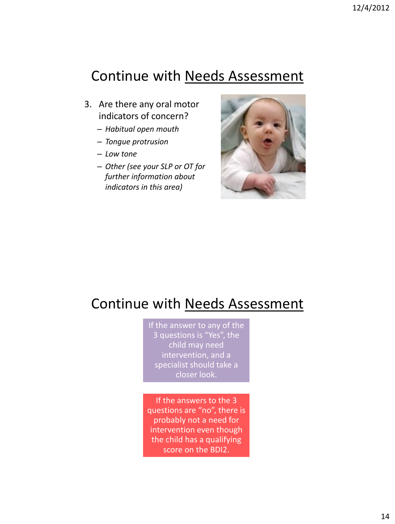#### Continue with Needs Assessment

- 3. Are there any oral motor indicators of concern?
	- *Habitual open mouth*
	- *Tongue protrusion*
	- *Low tone*
	- *Other (see your SLP or OT for further information about indicators in this area)*



#### Continue with Needs Assessment

If the answer to any of the 3 questions is "Yes", the child may need intervention, and a specialist should take a closer look.

If the answers to the 3 questions are "no", there is probably not a need for intervention even though the child has a qualifying score on the BDI2.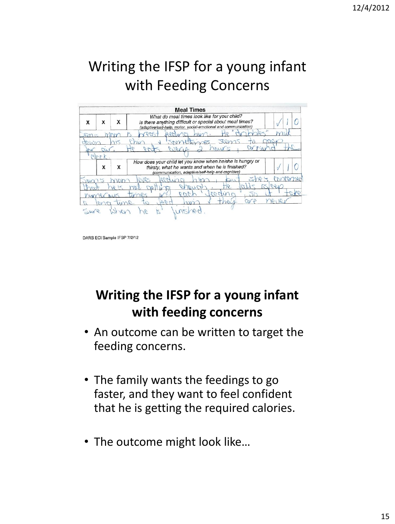# Writing the IFSP for a young infant with Feeding Concerns

|            |   |   | <b>Meal Times</b>                                                                                                                                                           |             |
|------------|---|---|-----------------------------------------------------------------------------------------------------------------------------------------------------------------------------|-------------|
| X          | x | X | What do meal times look like for your child?<br>Is there anything difficult or special about meal times?<br>(adaptive/self-help, motor, social-emotional and communication) |             |
| $\sqrt{2}$ |   |   |                                                                                                                                                                             |             |
|            |   |   | RAY<br>$h\nu$                                                                                                                                                               | $\sqrt{48}$ |
|            |   |   | W FU<br>nours<br>$A \cap \mathcal{C}$                                                                                                                                       |             |
|            |   |   |                                                                                                                                                                             |             |
|            | X | x | How does your child let you know when he/she is hungry or<br>thirsty, what he wants and when he is finished?<br>(communication, adaptive/self-help and cognitive)           |             |
|            |   |   |                                                                                                                                                                             |             |
|            |   |   |                                                                                                                                                                             |             |
|            |   |   | 180005                                                                                                                                                                      |             |
| nw         |   |   | 4a                                                                                                                                                                          |             |
|            |   |   |                                                                                                                                                                             |             |

DARS ECI Sample IFSP 7/2/12

#### **Writing the IFSP for a young infant with feeding concerns**

- An outcome can be written to target the feeding concerns.
- The family wants the feedings to go faster, and they want to feel confident that he is getting the required calories.
- The outcome might look like…